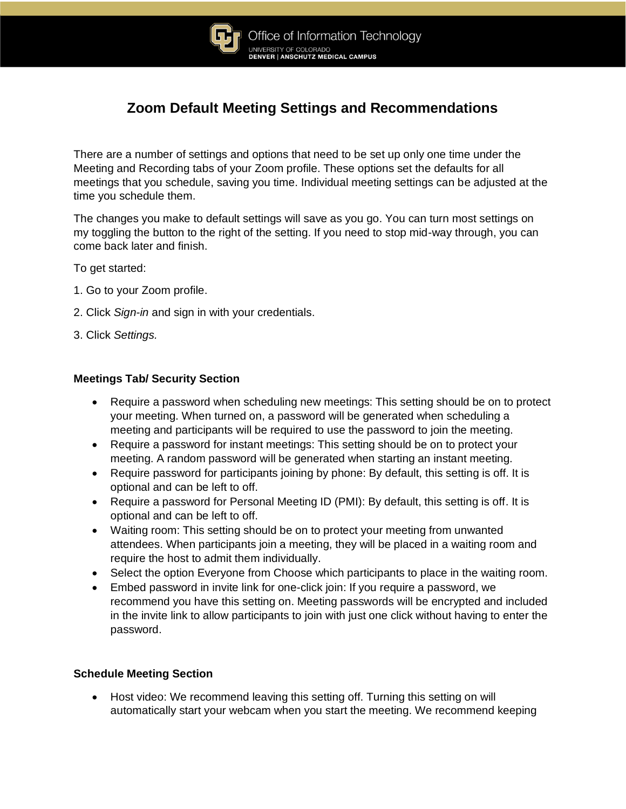

# **Zoom Default Meeting Settings and Recommendations**

There are a number of settings and options that need to be set up only one time under the Meeting and Recording tabs of your Zoom profile. These options set the defaults for all meetings that you schedule, saving you time. Individual meeting settings can be adjusted at the time you schedule them.

The changes you make to default settings will save as you go. You can turn most settings on my toggling the button to the right of the setting. If you need to stop mid-way through, you can come back later and finish.

To get started:

- 1. Go to your Zoom profile.
- 2. Click *Sign-in* and sign in with your credentials.
- 3. Click *Settings.*

## **Meetings Tab/ Security Section**

- Require a password when scheduling new meetings: This setting should be on to protect your meeting. When turned on, a password will be generated when scheduling a meeting and participants will be required to use the password to join the meeting.
- Require a password for instant meetings: This setting should be on to protect your meeting. A random password will be generated when starting an instant meeting.
- Require password for participants joining by phone: By default, this setting is off. It is optional and can be left to off.
- Require a password for Personal Meeting ID (PMI): By default, this setting is off. It is optional and can be left to off.
- Waiting room: This setting should be on to protect your meeting from unwanted attendees. When participants join a meeting, they will be placed in a waiting room and require the host to admit them individually.
- Select the option Everyone from Choose which participants to place in the waiting room.
- Embed password in invite link for one-click join: If you require a password, we recommend you have this setting on. Meeting passwords will be encrypted and included in the invite link to allow participants to join with just one click without having to enter the password.

## **Schedule Meeting Section**

• Host video: We recommend leaving this setting off. Turning this setting on will automatically start your webcam when you start the meeting. We recommend keeping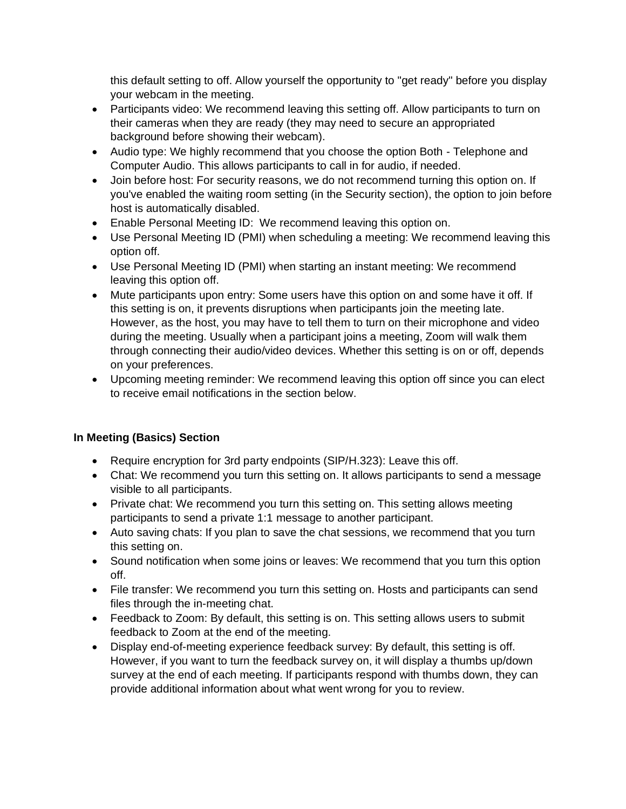this default setting to off. Allow yourself the opportunity to "get ready" before you display your webcam in the meeting.

- Participants video: We recommend leaving this setting off. Allow participants to turn on their cameras when they are ready (they may need to secure an appropriated background before showing their webcam).
- Audio type: We highly recommend that you choose the option Both Telephone and Computer Audio. This allows participants to call in for audio, if needed.
- Join before host: For security reasons, we do not recommend turning this option on. If you've enabled the waiting room setting (in the Security section), the option to join before host is automatically disabled.
- Enable Personal Meeting ID: We recommend leaving this option on.
- Use Personal Meeting ID (PMI) when scheduling a meeting: We recommend leaving this option off.
- Use Personal Meeting ID (PMI) when starting an instant meeting: We recommend leaving this option off.
- Mute participants upon entry: Some users have this option on and some have it off. If this setting is on, it prevents disruptions when participants join the meeting late. However, as the host, you may have to tell them to turn on their microphone and video during the meeting. Usually when a participant joins a meeting, Zoom will walk them through connecting their audio/video devices. Whether this setting is on or off, depends on your preferences.
- Upcoming meeting reminder: We recommend leaving this option off since you can elect to receive email notifications in the section below.

# **In Meeting (Basics) Section**

- Require encryption for 3rd party endpoints (SIP/H.323): Leave this off.
- Chat: We recommend you turn this setting on. It allows participants to send a message visible to all participants.
- Private chat: We recommend you turn this setting on. This setting allows meeting participants to send a private 1:1 message to another participant.
- Auto saving chats: If you plan to save the chat sessions, we recommend that you turn this setting on.
- Sound notification when some joins or leaves: We recommend that you turn this option off.
- File transfer: We recommend you turn this setting on. Hosts and participants can send files through the in-meeting chat.
- Feedback to Zoom: By default, this setting is on. This setting allows users to submit feedback to Zoom at the end of the meeting.
- Display end-of-meeting experience feedback survey: By default, this setting is off. However, if you want to turn the feedback survey on, it will display a thumbs up/down survey at the end of each meeting. If participants respond with thumbs down, they can provide additional information about what went wrong for you to review.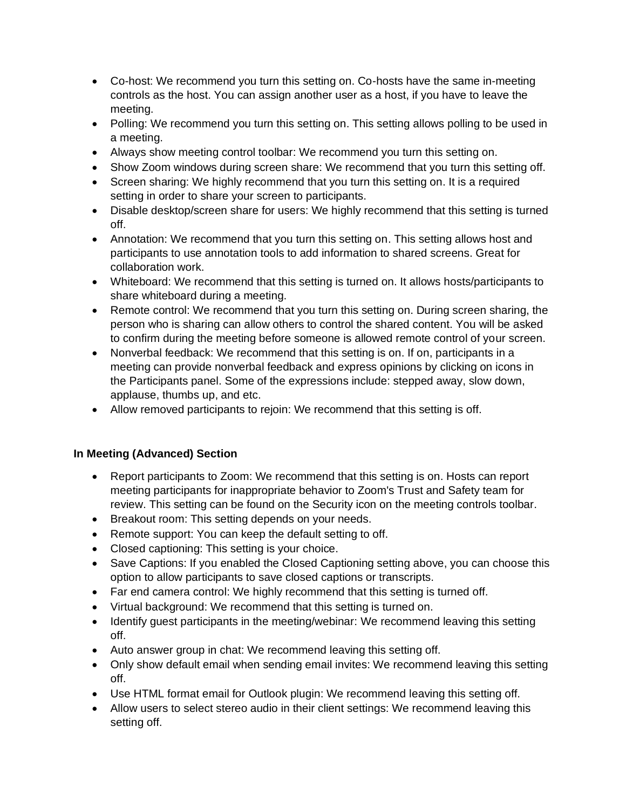- Co-host: We recommend you turn this setting on. Co-hosts have the same in-meeting controls as the host. You can assign another user as a host, if you have to leave the meeting.
- Polling: We recommend you turn this setting on. This setting allows polling to be used in a meeting.
- Always show meeting control toolbar: We recommend you turn this setting on.
- Show Zoom windows during screen share: We recommend that you turn this setting off.
- Screen sharing: We highly recommend that you turn this setting on. It is a required setting in order to share your screen to participants.
- Disable desktop/screen share for users: We highly recommend that this setting is turned off.
- Annotation: We recommend that you turn this setting on. This setting allows host and participants to use annotation tools to add information to shared screens. Great for collaboration work.
- Whiteboard: We recommend that this setting is turned on. It allows hosts/participants to share whiteboard during a meeting.
- Remote control: We recommend that you turn this setting on. During screen sharing, the person who is sharing can allow others to control the shared content. You will be asked to confirm during the meeting before someone is allowed remote control of your screen.
- Nonverbal feedback: We recommend that this setting is on. If on, participants in a meeting can provide nonverbal feedback and express opinions by clicking on icons in the Participants panel. Some of the expressions include: stepped away, slow down, applause, thumbs up, and etc.
- Allow removed participants to rejoin: We recommend that this setting is off.

## **In Meeting (Advanced) Section**

- Report participants to Zoom: We recommend that this setting is on. Hosts can report meeting participants for inappropriate behavior to Zoom's Trust and Safety team for review. This setting can be found on the Security icon on the meeting controls toolbar.
- Breakout room: This setting depends on your needs.
- Remote support: You can keep the default setting to off.
- Closed captioning: This setting is your choice.
- Save Captions: If you enabled the Closed Captioning setting above, you can choose this option to allow participants to save closed captions or transcripts.
- Far end camera control: We highly recommend that this setting is turned off.
- Virtual background: We recommend that this setting is turned on.
- Identify guest participants in the meeting/webinar: We recommend leaving this setting off.
- Auto answer group in chat: We recommend leaving this setting off.
- Only show default email when sending email invites: We recommend leaving this setting off.
- Use HTML format email for Outlook plugin: We recommend leaving this setting off.
- Allow users to select stereo audio in their client settings: We recommend leaving this setting off.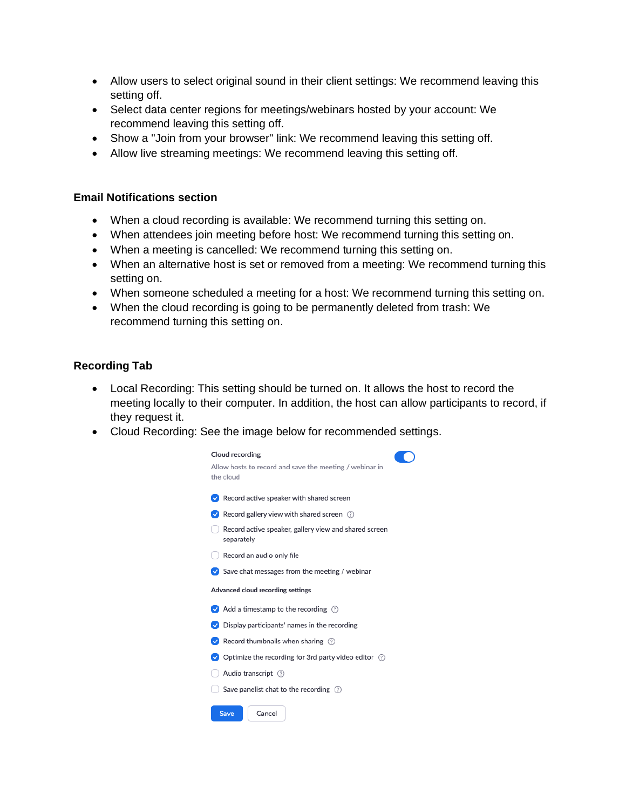- Allow users to select original sound in their client settings: We recommend leaving this setting off.
- Select data center regions for meetings/webinars hosted by your account: We recommend leaving this setting off.
- Show a "Join from your browser" link: We recommend leaving this setting off.
- Allow live streaming meetings: We recommend leaving this setting off.

#### **Email Notifications section**

- When a cloud recording is available: We recommend turning this setting on.
- When attendees join meeting before host: We recommend turning this setting on.
- When a meeting is cancelled: We recommend turning this setting on.
- When an alternative host is set or removed from a meeting: We recommend turning this setting on.
- When someone scheduled a meeting for a host: We recommend turning this setting on.
- When the cloud recording is going to be permanently deleted from trash: We recommend turning this setting on.

#### **Recording Tab**

- Local Recording: This setting should be turned on. It allows the host to record the meeting locally to their computer. In addition, the host can allow participants to record, if they request it.
- Cloud Recording: See the image below for recommended settings.